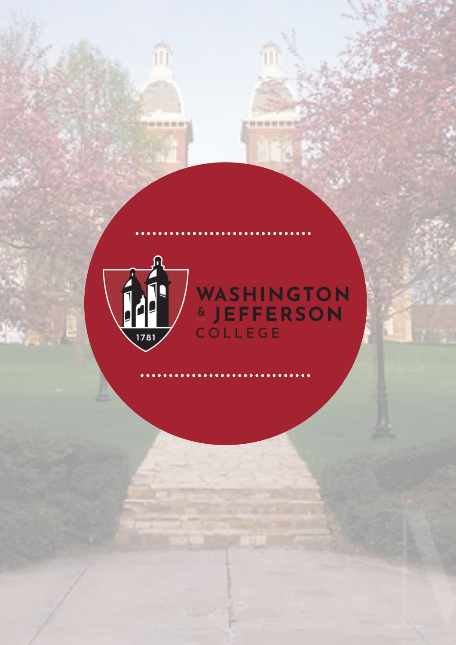

îū

399999

# WASHINGTON

**WHITEHAL**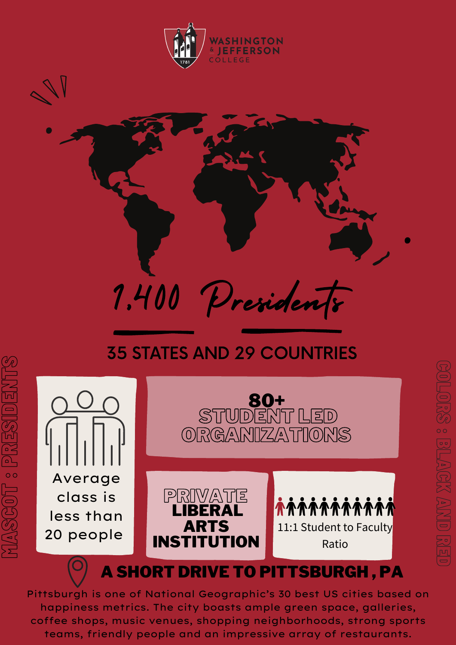



## 1,400 Presidents

#### 35 STATES AND 29 COUNTRIES



 $\sum$ A $\mathscr{C\!P}$ E  $\textcircled{\scriptsize{\blacksquare}}$  $\Box$ : $\curvearrowright$ 

**In the Co** 

 $\Box$  $\mathscr{C\!P}$ 

#### A SHORT DRIVE TO PITTSBURGH , PA

Pittsburgh is one of National Geographic's 30 best US cities based on happiness metrics. The city boasts ample green space, galleries, coffee shops, music venues, shopping neighborhoods, strong sports teams, friendly people and an impressive array of restaurants.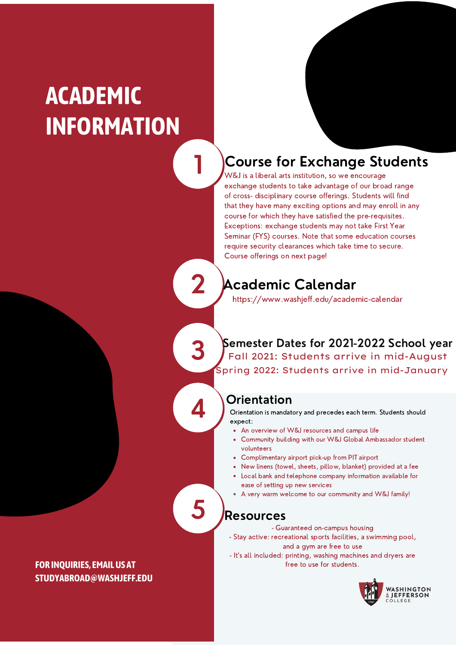### **ACADEMIC INFORMATION**

#### Course for Exchange Students

W&J is a liberal arts institution, so we encourage exchange students to take advantage of our broad range of cross- disciplinary course offerings. Students will find that they have many exciting options and may enroll in any course for which they have satisfied the pre-requisites. Exceptions: exchange students may not take First Year Seminar (FYS) courses. Note that some education courses require security clearances which take time to secure. Course offerings on next page!

2

3

4

5

1

#### Academic Calendar

https://www.washjeff.edu/academic-calendar

Semester Dates for 2021-2022 School year Fall 2021: Students arrive in mid-August Spring 2022: Students arrive in mid-January

#### **Orientation**

Orientation is mandatory and precedes each term. Students should expect:

- An overview of W&J resources and campus life
- Community building with our W&J Global Ambassador student volunteers
- Complimentary airport pick-up from PIT airport
- New linens (towel, sheets, pillow, blanket) provided at a fee
- Local bank and telephone company information available for ease of setting up new services
- A very warm welcome to our community and W&J family!

#### Resources

- Guaranteed on-campus housing
- Stay active: recreational sports facilities, a swimming pool, and a gym are free to use
- It's all included: printing, washing machines and dryers are free to use for students.



**FOR INQUIRIES, EMAILUS AT STUDYABROAD@WASHJEFF.EDU**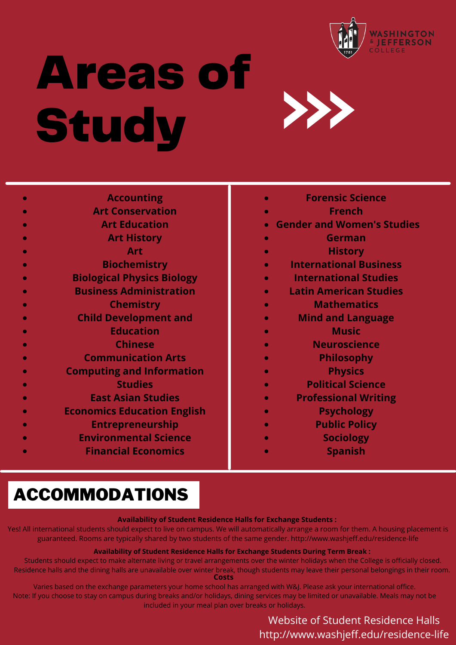

## Areas of **Study**



| <b>Accounting</b>                  |
|------------------------------------|
| <b>Art Conservation</b>            |
| <b>Art Education</b>               |
|                                    |
| <b>Art History</b>                 |
| Art                                |
| <b>Biochemistry</b>                |
| <b>Biological Physics Biology</b>  |
| <b>Business Administration</b>     |
| <b>Chemistry</b>                   |
| <b>Child Development and</b>       |
| <b>Education</b>                   |
| <b>Chinese</b>                     |
| <b>Communication Arts</b>          |
| <b>Computing and Information</b>   |
| <b>Studies</b>                     |
| <b>East Asian Studies</b>          |
| <b>Economics Education English</b> |
| <b>Entrepreneurship</b>            |
| <b>Environmental Science</b>       |
| <b>Financial Economics</b>         |
|                                    |

- **Forensic Science**
- **French**
- **Gender and Women's Studies**
- **German**
- **History**
- **International Business**
- **International Studies**
- **Latin American Studies**
	- **Mathematics**
- **Mind and Language**
- **Music**
- **Neuroscience**
	- **Philosophy**
		- **Physics**
		- **Political Science**
- **Professional Writing**
	- **Psychology**
	- **Public Policy**
	- **Sociology**
		- **Spanish**

#### ACCOMMODATIONS

#### **Availability of Student Residence Halls for Exchange Students :**

Yes! All international students should expect to live on campus. We will automatically arrange a room for them. A housing placement is guaranteed. Rooms are typically shared by two students of the same gender. http://www.washjeff.edu/residence-life

#### **Availability of Student Residence Halls for Exchange Students During Term Break :**

Students should expect to make alternate living or travel arrangements over the winter holidays when the College is officially closed. Residence halls and the dining halls are unavailable over winter break, though students may leave their personal belongings in their room. **Costs**

Varies based on the exchange parameters your home school has arranged with W&J. Please ask your international office. Note: If you choose to stay on campus during breaks and/or holidays, dining services may be limited or unavailable. Meals may not be included in your meal plan over breaks or holidays.

#### Website of Student Residence Halls http://www.washjeff.edu/residence-life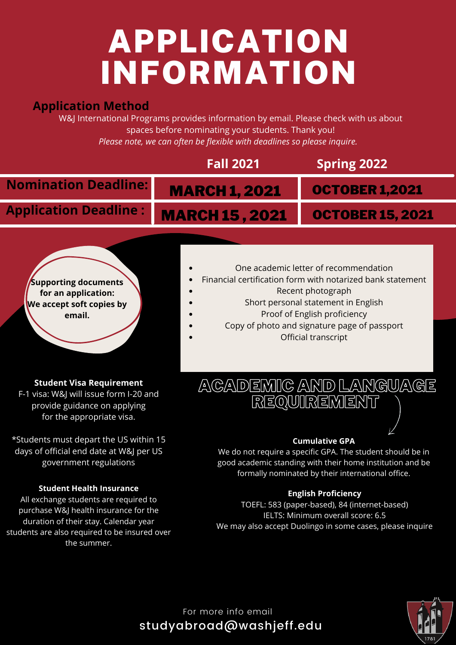## APPLICATION INFORMATION

#### **Application Method**

W&J International Programs provides information by email. Please check with us about spaces before nominating your students. Thank you! *Please note, we can often be flexible with deadlines so please inquire.*



days of official end date at W&J per US government regulations

#### **Student Health Insurance**

All exchange students are required to purchase W&J health insurance for the duration of their stay. Calendar year students are also required to be insured over the summer.

#### formally nominated by their international office.

good academic standing with their home institution and be

**English Proficiency** TOEFL: 583 (paper-based), 84 (internet-based) IELTS: Minimum overall score: 6.5 We may also accept Duolingo in some cases, please inquire



For more info email studyabroad@washjeff.edu